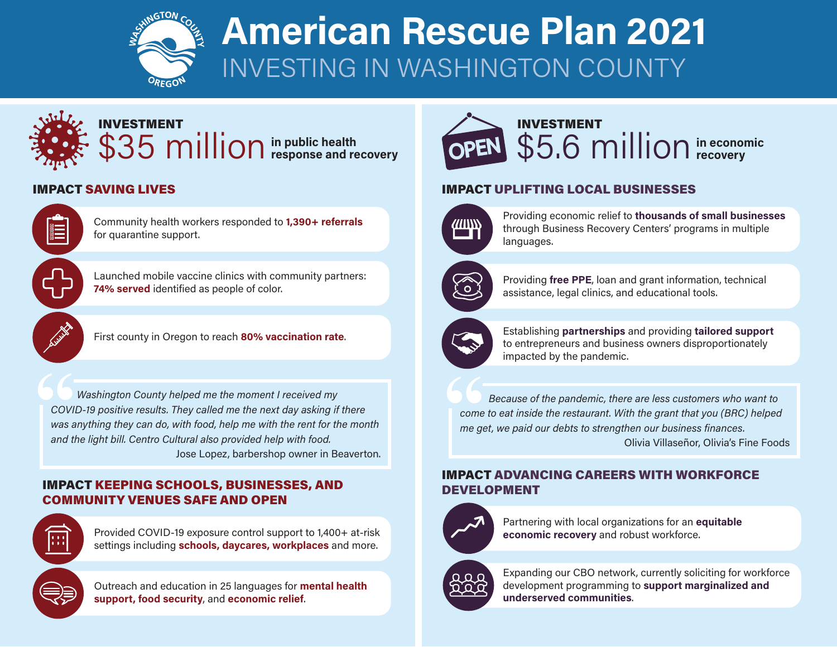

# **American Rescue Plan 2021** INVESTING IN WASHINGTON COUNTY



### **IMPACT SAVING LIVES**



Community health workers responded to **1,390+ referrals** for quarantine support.

Launched mobile vaccine clinics with community partners: 74% served identified as people of color.



First county in Oregon to reach 80% vaccination rate.

**66**<br>COVII<br>was a<br>and th *Washington County helped me the moment I received my COVID-19 positive results. They called me the next day asking if there was anything they can do, with food, help me with the rent for the month* and the light bill. Centro Cultural also provided help with food. Jose Lopez, barbershop owner in Beaverton.

#### IMPACT KEEPING SCHOOLS, BUSINESSES, AND **COMMUNITY VENUES SAFE AND OPEN**



Provided COVID-19 exposure control support to 1,400+ at-risk settings including schools, daycares, workplaces and more.



**Outreach and education in 25 languages for mental health** support, food security, and economic relief.



# **economic in** \$5.6 million in econor INVESTMENT

## **IMPACT UPLIFTING LOCAL BUSINESSES**



Providing economic relief to **thousands of small businesses** through Business Recovery Centers' programs in multiple languages.



Providing free PPE, loan and grant information, technical assistance, legal clinics, and educational tools.



**Establishing partnerships** and providing **tailored support** to entrepreneurs and business owners disproportionately impacted by the pandemic.

**66**<br>
come<br>
me ge *Because of the pandemic, there are less customers who want to come to eat inside the restaurant. With the grant that you (BRC) helped me get, we paid our debts to strengthen our business finances.* Olivia Villaseñor, Olivia's Fine Foods

#### **IMPACT ADVANCING CAREERS WITH WORKFORCE** DEVELOPMENT



Partnering with local organizations for an **equitable** economic recovery and robust workforce.



Expanding our CBO network, currently soliciting for workforce development programming to support marginalized and .**communities underserved**